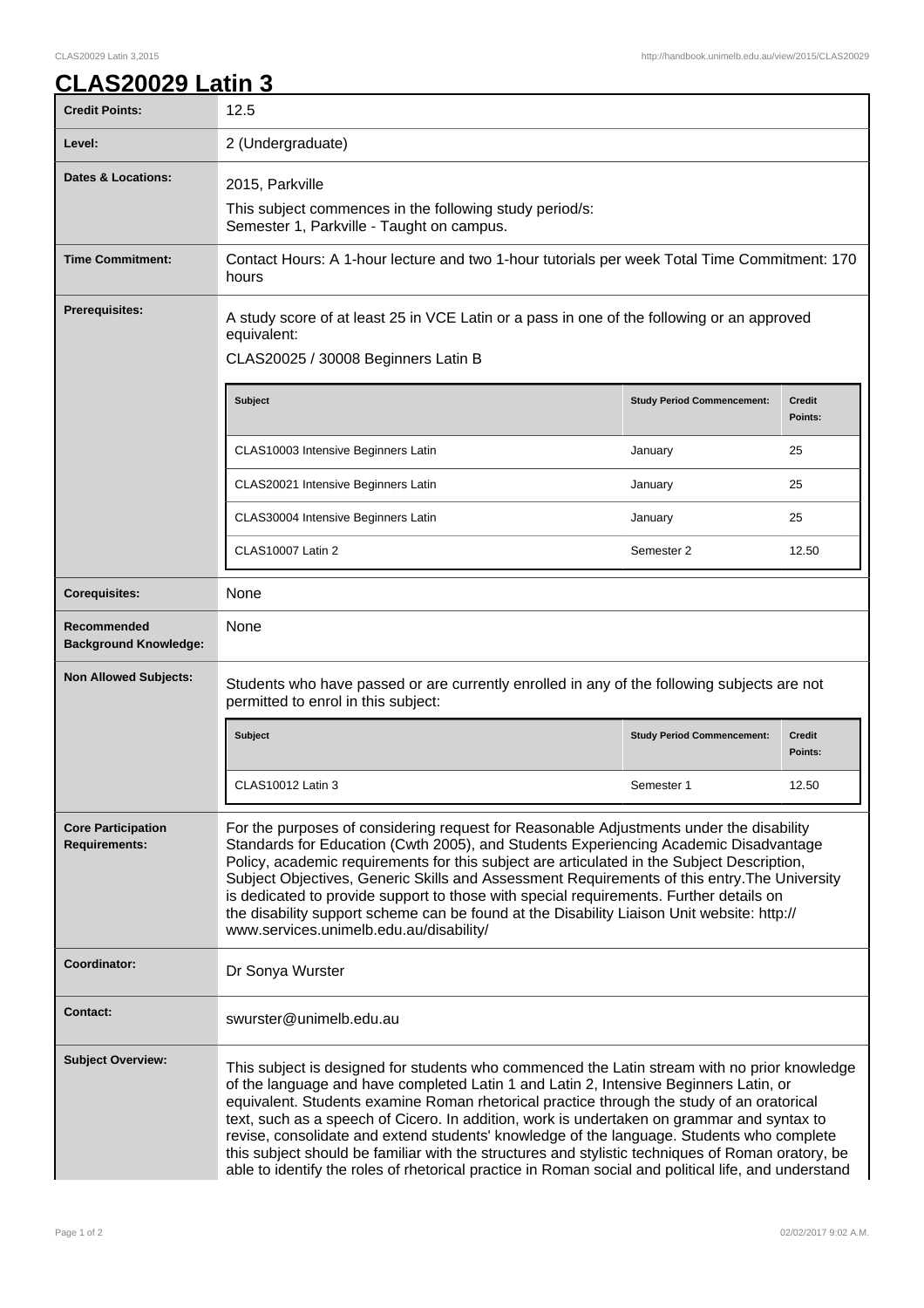## **CLAS20029 Latin 3**

| <b>Credit Points:</b>                             | 12.5                                                                                                                                                                                                                                                                                                                                                                                                                                                                                                                                                                                                                                                                                       |                                   |                          |
|---------------------------------------------------|--------------------------------------------------------------------------------------------------------------------------------------------------------------------------------------------------------------------------------------------------------------------------------------------------------------------------------------------------------------------------------------------------------------------------------------------------------------------------------------------------------------------------------------------------------------------------------------------------------------------------------------------------------------------------------------------|-----------------------------------|--------------------------|
| Level:                                            | 2 (Undergraduate)                                                                                                                                                                                                                                                                                                                                                                                                                                                                                                                                                                                                                                                                          |                                   |                          |
| <b>Dates &amp; Locations:</b>                     | 2015, Parkville<br>This subject commences in the following study period/s:<br>Semester 1, Parkville - Taught on campus.                                                                                                                                                                                                                                                                                                                                                                                                                                                                                                                                                                    |                                   |                          |
| <b>Time Commitment:</b>                           | Contact Hours: A 1-hour lecture and two 1-hour tutorials per week Total Time Commitment: 170<br>hours                                                                                                                                                                                                                                                                                                                                                                                                                                                                                                                                                                                      |                                   |                          |
| <b>Prerequisites:</b>                             | A study score of at least 25 in VCE Latin or a pass in one of the following or an approved<br>equivalent:<br>CLAS20025 / 30008 Beginners Latin B                                                                                                                                                                                                                                                                                                                                                                                                                                                                                                                                           |                                   |                          |
|                                                   | <b>Subject</b>                                                                                                                                                                                                                                                                                                                                                                                                                                                                                                                                                                                                                                                                             | <b>Study Period Commencement:</b> | <b>Credit</b><br>Points: |
|                                                   | CLAS10003 Intensive Beginners Latin                                                                                                                                                                                                                                                                                                                                                                                                                                                                                                                                                                                                                                                        | January                           | 25                       |
|                                                   | CLAS20021 Intensive Beginners Latin                                                                                                                                                                                                                                                                                                                                                                                                                                                                                                                                                                                                                                                        | January                           | 25                       |
|                                                   | CLAS30004 Intensive Beginners Latin                                                                                                                                                                                                                                                                                                                                                                                                                                                                                                                                                                                                                                                        | January                           | 25                       |
|                                                   | <b>CLAS10007 Latin 2</b>                                                                                                                                                                                                                                                                                                                                                                                                                                                                                                                                                                                                                                                                   | Semester 2                        | 12.50                    |
| <b>Corequisites:</b>                              | None                                                                                                                                                                                                                                                                                                                                                                                                                                                                                                                                                                                                                                                                                       |                                   |                          |
| Recommended<br><b>Background Knowledge:</b>       | None                                                                                                                                                                                                                                                                                                                                                                                                                                                                                                                                                                                                                                                                                       |                                   |                          |
| <b>Non Allowed Subjects:</b>                      | Students who have passed or are currently enrolled in any of the following subjects are not<br>permitted to enrol in this subject:                                                                                                                                                                                                                                                                                                                                                                                                                                                                                                                                                         |                                   |                          |
|                                                   | <b>Subject</b>                                                                                                                                                                                                                                                                                                                                                                                                                                                                                                                                                                                                                                                                             | <b>Study Period Commencement:</b> | <b>Credit</b><br>Points: |
|                                                   | CLAS10012 Latin 3                                                                                                                                                                                                                                                                                                                                                                                                                                                                                                                                                                                                                                                                          | Semester 1                        | 12.50                    |
| <b>Core Participation</b><br><b>Requirements:</b> | For the purposes of considering request for Reasonable Adjustments under the disability<br>Standards for Education (Cwth 2005), and Students Experiencing Academic Disadvantage<br>Policy, academic requirements for this subject are articulated in the Subject Description,<br>Subject Objectives, Generic Skills and Assessment Requirements of this entry. The University<br>is dedicated to provide support to those with special requirements. Further details on<br>the disability support scheme can be found at the Disability Liaison Unit website: http://<br>www.services.unimelb.edu.au/disability/                                                                           |                                   |                          |
| Coordinator:                                      | Dr Sonya Wurster                                                                                                                                                                                                                                                                                                                                                                                                                                                                                                                                                                                                                                                                           |                                   |                          |
| <b>Contact:</b>                                   | swurster@unimelb.edu.au                                                                                                                                                                                                                                                                                                                                                                                                                                                                                                                                                                                                                                                                    |                                   |                          |
| <b>Subject Overview:</b>                          | This subject is designed for students who commenced the Latin stream with no prior knowledge<br>of the language and have completed Latin 1 and Latin 2, Intensive Beginners Latin, or<br>equivalent. Students examine Roman rhetorical practice through the study of an oratorical<br>text, such as a speech of Cicero. In addition, work is undertaken on grammar and syntax to<br>revise, consolidate and extend students' knowledge of the language. Students who complete<br>this subject should be familiar with the structures and stylistic techniques of Roman oratory, be<br>able to identify the roles of rhetorical practice in Roman social and political life, and understand |                                   |                          |